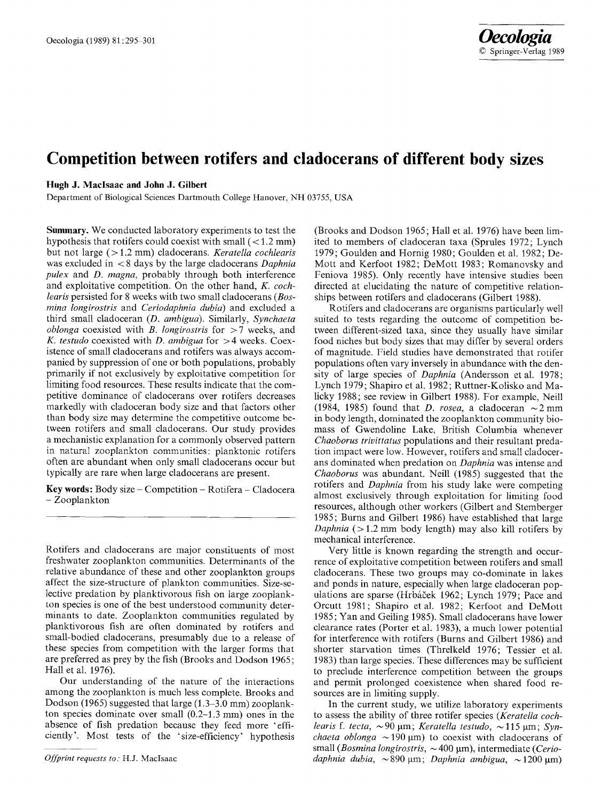# **Competition between rotifers and cladoeerans of different body sizes**

## **Hugh J. MacIsaac and John J. Gilbert**

Department of Biological Sciences Dartmouth College Hanover, NH 03755, USA

Summary. We conducted laboratory experiments to test the hypothesis that rotifers could coexist with small  $(< 1.2$  mm) but not large (> 1.2 mm) cladocerans. *Keratella cochlearis*  was excluded in < 8 days by the large cladocerans *Daphnia pulex* and *D. magna,* probably through both interference and exploitative competition. On the other hand, *K. cochlearis* persisted for 8 weeks with two small cladocerans *(Bosmina tongirostris* and *Ceriodaphnia dubia)* and excluded a third small cladoceran *(D. ambigua).* Similarly, *Synchaeta oblonga* coexisted with *B. longirostris* for >7 weeks, and *K. testudo* coexisted with *D. ambigua* for > 4 weeks. Coexistence of small cladocerans and rotifers was always accompanied by suppression of one or both populations, probably primarily if not exclusively by exploitative competition for limiting food resources. These results indicate that the competitive dominance of cladocerans over rotifers decreases markedly with cladoceran body size and that factors other than body size may determine the competitive outcome between rotifers and small cladocerans. Our study provides a mechanistic explanation for a commonly observed pattern in natural zooplankton communities: planktonic rotifers often are abundant when only small cladocerans occur but typically are rare when large cladocerans are present.

Key words: Body size - Competition - Rotifera - Cladocera **-** Zooplankton

Rotifers and cladocerans are major constituents of most freshwater zooplankton communities. Determinants of the relative abundance of these and other zooplankton groups affect the size-structure of plankton communities. Size-selective predation by planktivorous fish on large zooplankton species is one of the best understood community determinants to date. Zooplankton communities regulated by planktivorous fish are often dominated by rotifers and small-bodied cladocerans, presumably due to a release of these species from competition with the larger forms that are preferred as prey by the fish (Brooks and Dodson 1965; Hall et al. 1976).

Our understanding of the nature of the interactions among the zooplankton is much less complete. Brooks and Dodson (1965) suggested that large  $(1.3-3.0 \text{ mm})$  zooplankton species dominate over small (0.2-1.3 mm) ones in the absence of fish predation because they feed more 'efficiently'. Most tests of the 'size-efficiency' hypothesis

(Brooks and Dodson 1965; Hall et al. 1976) have been limited to members of cladoceran taxa (Sprules 1972; Lynch 1979; Goulden and Hornig 1980; Goulden et al. 1982; De-Mott and Kerfoot 1982; DeMott 1983; Romanovsky and Feniova 1985). Only recently have intensive studies been directed at elucidating the nature of competitive relationships between rotifers and cladocerans (Gilbert 1988).

Rotifers and cladocerans are organisms particularly well suited to tests regarding the outcome of competition between different-sized taxa, since they usually have similar food niches but body sizes that may differ by several orders of magnitude. Field studies have demonstrated that rotifer populations often vary inversely in abundance with the density of large species of *Daphnia* (Andersson etal. 1978; Lynch 1979; Shapiro et al. 1982; Ruttner-Kolisko and Malicky 1988; see review in Gilbert 1988). For example, Neill (1984, 1985) found that *D. rosea*, a cladoceran  $\sim$  2 mm in body length, dominated the zooplankton community biomass of Gwendoline Lake, British Columbia whenever *Chaoborus trivittatus* populations and their resultant predation impact were low. However, rotifers and small cladocerans dominated when predation on *Daphnia* was intense and *Chaoborus* was abundant. Neill (1985) suggested that the rotifers and *Daphnia* from his study lake were competing almost exclusively through exploitation for limiting food resources, although other workers (Gilbert and Stemberger 1985; Burns and Gilbert 1986) have established that large *Daphnia*  $(>1.2 \text{ mm}$  body length) may also kill rotifers by mechanical interference.

Very little is known regarding the strength and occurrence of exploitative competition between rotifers and small cladocerans. These two groups may co-dominate in lakes and ponds in nature, especially when large cladoceran populations are sparse (Hrbáček 1962; Lynch 1979; Pace and Orcutt 1981; Shapiro et al. 1982; Kerfoot and DeMott 1985; Yan and Gelling 1985). Small cladocerans have lower clearance rates (Porter et al. 1983), a much lower potential for interference with rotifers (Burns and Gilbert 1986) and shorter starvation times (Threlkeld 1976; Tessier etal. 1983) than large species. These differences may be sufficient to preclude interference competition between the groups and permit prolonged coexistence when shared food resources are in limiting supply.

In the current study, we utilize laboratory experiments to assess the ability of three rotifer species *(Keratella cochlearis* f. tecta,  $\sim$  90  $\mu$ m; *Keratella testudo*,  $\sim$  115  $\mu$ m; *Synchaeta oblonga*  $\sim$  190  $\mu$ m) to coexist with cladocerans of small *(Bosmina longirostris, ~400 μm)*, intermediate *(Cerio* $d$ *aphnia dubia,*  $\sim$ 890 µm; *Daphnia ambigua,*  $\sim$ 1200 µm)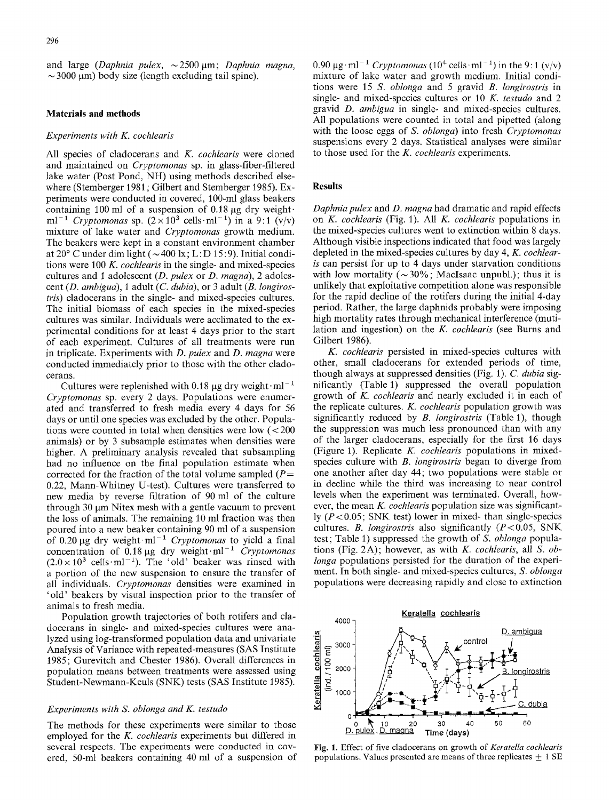and large *(Daphnia pulex,*  $\sim$  *2500 µm; Daphnia magna,*  $\sim$  3000  $\mu$ m) body size (length excluding tail spine).

#### **Materials and methods**

## *Experiments with K. cochlearis*

All species of cladocerans and *K. cochlearis* were cloned and maintained on *Cryptomonas* sp. in glass-fiber-filtered lake water (Post Pond, NH) using methods described elsewhere (Stemberger 1981 ; Gilbert and Stemberger 1985). Experiments were conducted in covered, 100-ml glass beakers containing 100 ml of a suspension of 0.18  $\mu$ g dry weightml<sup>-1</sup> *Cryptomonas* sp.  $(2 \times 10^3 \text{ cells} \cdot \text{ml}^{-1})$  in a 9:1  $(v/v)$ mixture of lake water and *Cryptomonas* growth medium. The beakers were kept in a constant environment chamber at 20 $\degree$  C under dim light ( $\sim$  400 lx; L: D 15:9). Initial conditions were 100 *K. cochlearis* in the single- and mixed-species cultures and 1 adolescent *(D. pulex* or *D. magna),* 2 adolescent *(D. ambigua),* I adult *(C. dubia),* or 3 adult *(B. longirostris*) cladocerans in the single- and mixed-species cultures. The initial biomass of each species in the mixed-species cultures was similar. Individuals were acclimated to the experimental conditions for at least 4 days prior to the start of each experiment. Cultures of all treatments were run in triplicate. Experiments with *D. pulex* and *D. magna* were conducted immediately prior to those with the other cladocerans.

Cultures were replenished with 0.18  $\mu$ g dry weight $\cdot$ ml<sup>-1</sup> *Cryptomonas* sp. every 2 days. Populations were enumerated and transferred to fresh media every 4 days for 56 days or until one species was excluded by the other. Populations were counted in total when densities were low (< 200 animals) or by 3 subsample estimates when densities were higher. A preliminary analysis revealed that subsampling had no influence on the final population estimate when corrected for the fraction of the total volume sampled  $(P =$ 0.22, Mann-Whitney U-test). Cultures were transferred to new media by reverse filtration of 90 ml of the culture through  $30 \mu m$  Nitex mesh with a gentle vacuum to prevent the loss of animals. The remaining 10 ml fraction was then poured into a new beaker containing 90 ml of a suspension of 0.20  $\mu$ g dry weight ml<sup>-1</sup> *Cryptomonas* to yield a final concentration of  $0.18 \mu$ g dry weight  $\text{ml}^{-1}$  *Cryptomonas*  $(2.0 \times 10^3 \text{ cells} \cdot \text{ml}^{-1})$ . The 'old' beaker was rinsed with a portion of the new suspension to ensure the transfer of all individuals. *Cryptomonas* densities were examined in 'old' beakers by visual inspection prior to the transfer of animals to fresh media.

Population growth trajectories of both rotifers and cladocerans in single- and mixed-species cultures were analyzed using log-transformed population data and univariate Analysis of Variance with repeated-measures (SAS Institute 1985; Gurevitch and Chester 1986). Overall differences in population means between treatments were assessed using Student-Newmann-Keuls (SNK) tests (SAS Institute 1985).

#### *Experiments with S. oblonga and K. testudo*

The methods for these experiments were similar to those employed for the *K. cochlearis* experiments but differed in several respects. The experiments were conducted in covered, 50-ml beakers containing 40 ml of a suspension of 0.90  $\mu$ g·ml<sup>-1</sup> *Cryptomonas* (10<sup>4</sup> cells·ml<sup>-1</sup>) in the 9:1 (v/v) mixture of lake water and growth medium. Initial conditions were 15 *S. oblonga* and 5 gravid *B. longirostris* in single- and mixed-species cultures or 10 *K. testudo* and 2 gravid *D. ambigua* in single- and mixed-species cultures. All populations were counted in total and pipetted (along with the loose eggs of *S. oblonga)* into fresh *Cryptomonas*  suspensions every 2 days. Statistical analyses were similar to those used for the *K. eochlearis* experiments.

#### **Results**

*Daphnia pulex* and *D. magna* had dramatic and rapid effects on *K. cochlearis* (Fig. 1). All *K. cochlearis* populations in the mixed-species cultures went to extinction within 8 days. Although visible inspections indicated that food was largely depleted in the mixed-species cultures by day *4, K. cochlearis* can persist for up to 4 days under starvation conditions with low mortality ( $\sim 30\%$ ; MacIsaac unpubl.); thus it is unlikely that exploitative competition alone was responsible for the rapid decline of the rotifers during the initial 4-day period. Rather, the large daphnids probably were imposing high mortality rates through mechanical interference (mutilation and ingestion) on the *K. cochlearis* (see Burns and Gilbert 1986).

*K. cochlearis* persisted in mixed-species cultures with other, small cladocerans for extended periods of time, though always at suppressed densities (Fig. 1). *C. dubia* significantly (Table 1) suppressed the overall population growth of *K. cochlearis* and nearly excluded it in each of the replicate cultures. *K. cochlearis* population growth was significantly reduced by *B. longirostris* (Table 1), though the suppression was much less pronounced than with any of the larger cladocerans, especially for the first 16 days (Figure 1). Replicate *K. cochlearis* populations in mixedspecies culture with *B. longirostris* began to diverge from one another after day 44; two populations were stable or in decline while the third was increasing to near control levels when the experiment was terminated. Overall, however, the mean *K. cochlearis* population size was significantly  $(P<0.05$ ; SNK test) lower in mixed- than single-species cultures. *B. longirostris* also significantly (P<0.05, SNK test; Table 1) suppressed the growth of *S. oblonga* populations (Fig. 2A); however, as with *K. cochlearis,* all *S. oblonga* populations persisted for the duration of the experiment. In both single- and mixed-species cultures, *S. oblonga*  populations were decreasing rapidly and close to extinction



Fig. 1. Effect of five cladocerans on growth of *Keratella cochlearis*  populations. Values presented are means of three replicates  $\pm$  1 SE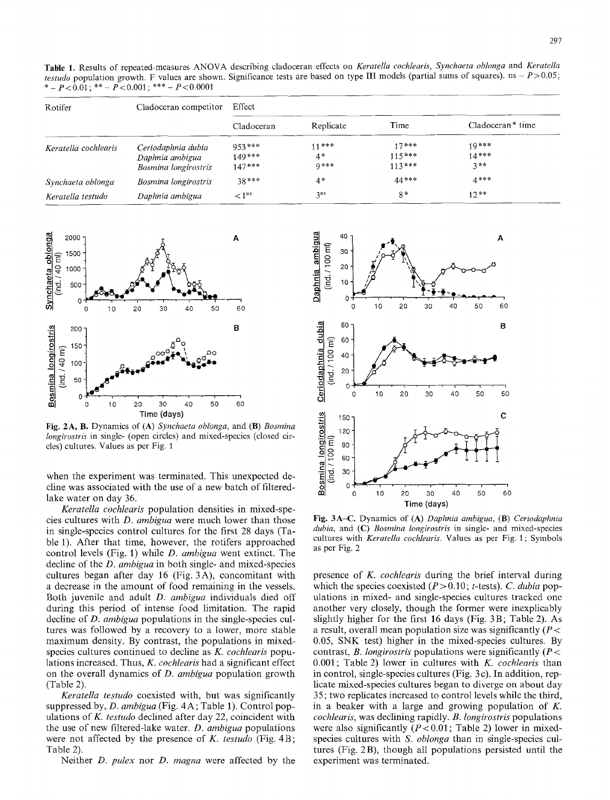Table 1. Results of repeated-measures ANOVA describing cladoceran effects on *Keratella cochlearis, Synchaeta oblonga* and *Keratella testudo* population growth. F values are shown. Significance tests are based on type III models (partial sums of squares). ns  $-P > 0.05$ ; \* -  $P < 0.01$ ; \*\* -  $P < 0.001$ ; \*\*\* -  $P < 0.0001$ 

| Rotifer              | Cladoceran competitor                                         | Effect                           |                            |                                 |                              |  |
|----------------------|---------------------------------------------------------------|----------------------------------|----------------------------|---------------------------------|------------------------------|--|
|                      |                                                               | Cladoceran                       | Replicate                  | Time                            | Cladoceran <sup>*</sup> time |  |
| Keratella cochlearis | Ceriodaphnia dubia<br>Daphnia ambigua<br>Bosmina longirostris | $953***$<br>$149***$<br>$147***$ | $11***$<br>$4*$<br>$Q$ *** | $17***$<br>$115***$<br>$113***$ | $10***$<br>$14***$<br>$3**$  |  |
| Synchaeta oblonga    | Bosmina longirostris                                          | $38***$                          | $4*$                       | $44***$                         | $4***$                       |  |
| Keratella testudo    | Daphnia ambigua                                               | $\rm <1^{ns}$                    | 3 <sup>ns</sup>            | $8*$                            | $12**$                       |  |



**Fig.** 2A, B. Dynamics of (A) *Synchaeta oblonga,* and (B) *Bosmina longirostris* in single- (open circles) and mixed-species (closed circles) cultures. Values as per Fig. 1

when the experiment was terminated. This unexpected decline was associated with the use of a new batch of filteredlake water on day 36.

*Keratella cochlearis* population densities in mixed-species cultures with *D. ambigua* were much lower than those in single-species control cultures for the first 28 days (Table 1). After that time, however, the rotifers approached control levels (Fig. 1) while *D. ambigua* went extinct. The decline of the *D. ambigua* in both single- and mixed-species cultures began after day 16 (Fig. 3A), concomitant with a decrease in the amount of food remaining in the vessels. Both juvenile and adult *D. ambigua* individuals died off during this period of intense food limitation. The rapid decline of *D. ambigua* populations in the single-species cultures was followed by a recovery to a lower, more stable maximum density. By contrast, the populations in mixedspecies cultures continued to decline as *K. cochlearis* populations increased. Thus, *K. cochlearis* had a significant effect on the overall dynamics of *D. ambigua* population growth (Table 2).

*Keratella testudo* coexisted with, but was significantly suppressed by, *D. ambigua* (Fig. 4A; Table 1). Control populations of *K. testudo* declined after day 22, coincident with the use of new filtered-lake water. *D. ambigua* populations were not affected by the presence of *K. testudo* (Fig. 4 B; Table 2).

Neither *D. pulex* nor *D. magna* were affected by the



**Fig.** 3A-C. Dynamics of (A) *Daphnia ambigua,* (B) *Ceriodaphnia dubia,* and (C) *Bosmina longirostris* in single- and mixed-species cultures with *Keratella eochlearis.* Values as per Fig. 1; Symbols as per Fig. 2

presence of *K. cochlearis* during the brief interval during which the species coexisted ( $P > 0.10$ ; t-tests). *C. dubia* populations in mixed- and single-species cultures tracked one another very closely, though the former were inexplicably slightly higher for the first 16 days (Fig. 3B; Table 2). As a result, overall mean population size was significantly  $(P <$ 0.05, SNK test) higher in the mixed-species cultures. By contrast, *B. longirostris* populations were significantly (P< 0.001; Table 2) lower in cultures with *K. cochlearis* than in control, single-species cultures (Fig. 3c). In addition, replicate mixed-species cultures began to diverge on about day 35; two replicates increased to control levels while the third, in a beaker with a large and growing population of K. *cochlearis,* was declining rapidly. *B. longirostris* populations were also significantly  $(P<0.01$ ; Table 2) lower in mixedspecies cultures with *S. oblonga* than in single-species cultures (Fig. 2B), though all populations persisted until the experiment was terminated.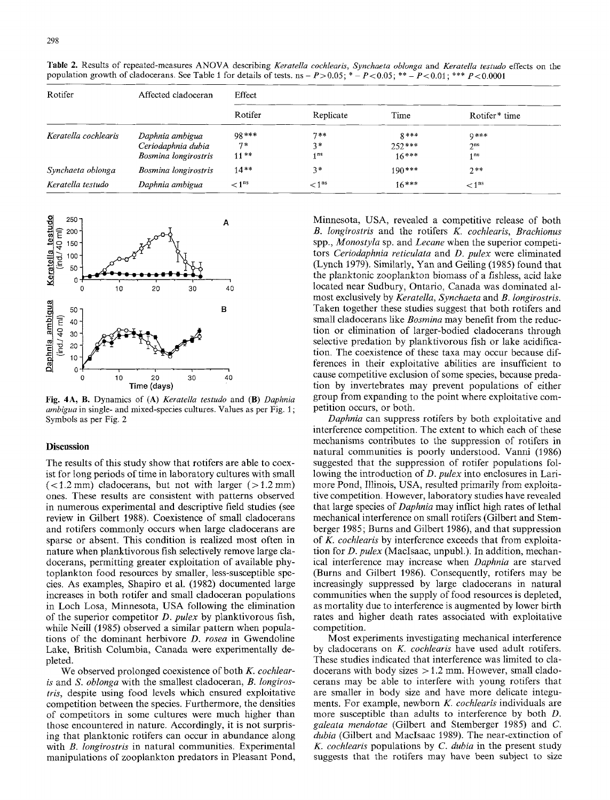| Rotifer              | Affected cladoceran                                           | Effect                     |                                |                               |                                              |  |
|----------------------|---------------------------------------------------------------|----------------------------|--------------------------------|-------------------------------|----------------------------------------------|--|
|                      |                                                               | Rotifer                    | Replicate                      | Time                          | Rotifer* time                                |  |
| Keratella cochlearis | Daphnia ambigua<br>Ceriodaphnia dubia<br>Bosmina longirostris | $98***$<br>$7*$<br>$11***$ | 7**<br>$3*$<br>1 <sub>ns</sub> | $8***$<br>$252***$<br>$16***$ | $0***$<br>2 <sup>ns</sup><br>1 <sup>ns</sup> |  |
| Synchaeta oblonga    | Bosmina longirostris                                          | $14**$                     | $3*$                           | $190***$                      | $2**$                                        |  |
| Keratella testudo    | Daphnia ambigua                                               | $< 1^{\text{ns}}$          | < 1 <sup>ns</sup>              | $16***$                       | $<1^{\rm ns}$                                |  |

Tnble 2. Results of repeated-measures ANOVA describing *Keratella cochlearis, Synchaeta oblonga* and *Keratella testudo* effects on the population growth of cladocerans. See Table 1 for details of tests, ns -  $P > 0.05$ ; \* -  $P < 0.05$ ; \*\* -  $P < 0.01$ ; \*\*\*  $P < 0.0001$ 



**Fig.** 4A, B. Dynamics of (A) *Keratella testudo* and (B) *Daphnia ambigua* in single- and mixed-species cultures. Values as per Fig. 1 ; Symbols as per Fig. 2

## **Discussion**

The results of this study show that rotifers are able to coexist for long periods of time in laboratory cultures with small  $(< 1.2 \text{ mm})$  cladocerans, but not with larger  $(> 1.2 \text{ mm})$ ones. These results are consistent with patterns observed in numerous experimental and descriptive field studies (see review in Gilbert 1988). Coexistence of small cladocerans and rotifers commonly occurs when large cladocerans are sparse or absent. This condition is realized most often in nature when planktivorous fish selectively remove large cladocerans, permitting greater exploitation of available phytoplankton food resources by smaller, less-susceptible species. As examples, Shapiro et al. (1982) documented large increases in both rotifer and small cladoceran populations in Loch Losa, Minnesota, USA following the elimination of the superior competitor *D. pulex* by planktivorous fish, while Neill (1985) observed a similar pattern when populations of the dominant herbivore *D. rosea* in Gwendoline Lake, British Columbia, Canada were experimentally depleted.

We observed prolonged coexistence of both *K. cochlearis* and *S. oblonga* with the smallest cladoceran, *B. longirostris,* despite using food levels which ensured exploitative competition between the species. Furthermore, the densities of competitors in some cultures were much higher than those encountered in nature. Accordingly, it is not surprising that planktonic rotifers can occur in abundance along with *B. longirostris* in natural communities. Experimental manipulations of zooplankton predators in Pleasant Pond,

Minnesota, USA, revealed a competitive release of both *B. Iongirostris* and the rotifers *K. cochtearis, Brachionus*  spp., *Monostyla* sp. and *Lecane* when the superior competitors *Ceriodaphnia reticulata* and *D. pulex* were eliminated (Lynch 1979). Similarly, Yan and Gelling (1985) found that the planktonic zooplankton biomass of a fishless, acid take located near Sudbury, Ontario, Canada was dominated almost exclusively by *Keratella, Synchaeta* and *B. Iongirostris.*  Taken together these studies suggest that both rotifers and small cladocerans like *Bosmina* may benefit from the reduction or elimination of larger-bodied cladocerans through selective predation by planktivorous fish or lake acidification. The coexistence of these taxa may occur because differences in their exploitative abilities are insufficient to cause competitive exclusion of some species, because predation by invertebrates may prevent populations of either group from expanding to the point where exploitative competition occurs, or both.

*Daphnia* can suppress rotifers by both exploitative and interference competition. The extent to which each of these mechanisms contributes to the suppression of rotifers in natural communities is poorly understood. Vanni (1986) suggested that the suppression of rotifer populations following the introduction of *D. pulex* into enclosures in Larimore Pond, Illinois, USA, resulted primarily from exploitative competition. However, laboratory studies have revealed that large species of *Daphnia* may inflict high rates of lethal mechanical interference on small rotifers (Gilbert and Stemberger 1985; Burns and Gilbert 1986), and that suppression of *K. cochlearis* by interference exceeds that from exploitation for *D. pulex* (MacIsaac, unpubl.). In addition, mechanical interference may increase when *Daphnia* are starved (Burns and Gilbert 1986). Consequently, rotifers may be increasingly suppressed by large cladocerans in natural communities when the supply of food resources is depleted, as mortality due to interference is augmented by lower birth rates and higher death rates associated with exploitative competition.

Most experiments investigating mechanical interference by cladocerans on *K. cochlearis* have used adult rotifers. These studies indicated that interference was limited to cladocerans with body sizes  $> 1.2$  mm. However, small cladocerans may be able to interfere with young rotifers that are smaller in body size and have more delicate integuments. For example, newborn *K. cochlearis* individuals are more susceptible than adults to interference by both D. *galeata mendotae* (Gilbert and Stemberger 1985) and C. dubia (Gilbert and MacIsaac 1989). The near-extinction of *K. cochlearis* populations by *C. dubia* in the present study suggests that the rotifers may have been subject to size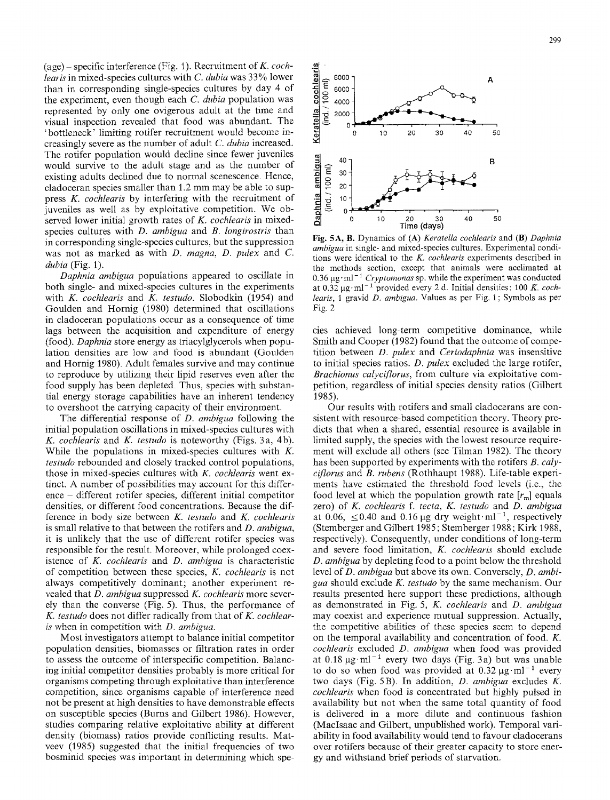(age) - specific interference (Fig. 1). Recruitment of *K. cochlearis* in mixed-species cultures with *C. dubia* was 33% lower than in corresponding single-species cultures by day 4 of the experiment, even though each *C. dubia* population was represented by only one ovigerous adult at the time and visual inspection revealed that food was abundant. The 'bottleneck' limiting rotifer recruitment would become increasingly severe as the number of adult *C. dubia* increased. The rotifer population would decline since fewer juveniles would survive to the adult stage and as the number of existing adults declined due to normal scenescence. Hence, cladoceran species smaller than 1.2 mm may be able to suppress *K. cochlearis* by interfering with the recruitment of juveniles as well as by exploitative competition. We observed lower initial growth rates of *K. cochlearis* in mixedspecies cultures with *D. ambigua* and *B. longirostris* than in corresponding single-species cultures, but the suppression was not as marked as with *D. magna, D. pulex* and C. *dubia* (Fig. 1).

*Daphnia ambigua* populations appeared to oscillate in both single- and mixed-species cultures in the experiments with *K. cochlearis* and *K. testudo.* Slobodkin (1954) and Goulden and Hornig (1980) determined that oscillations in cladoceran populations occur as a consequence of time lags between the acquisition and expenditure of energy (food). *Daphnia* store energy as triacylglycerols when population densities are low and food is abundant (Goulden and Hornig 1980). Adult females survive and may continue to reproduce by utilizing their lipid reserves even after the food supply has been depleted. Thus, species with substantial energy storage capabilities have an inherent tendency to overshoot the carrying capacity of their environment.

The differential response of *D. ambigua* following the initial population oscillations in mixed-species cultures with *K. cochlearis* and *K. testudo* is noteworthy (Figs. 3a, 4b). While the populations in mixed-species cultures with K. *testudo* rebounded and closely tracked control populations, those in mixed-species cultures with *K. cochlearis* went extinct. A number of possibilities may account for this difference – different rotifer species, different initial competitor densities, or different food concentrations. Because the difference in body size between *K. testudo* and *K. cochlearis*  is small relative to that between the rotifers and *D. ambigua,*  it is unlikely that the use of different rotifer species was responsible for the result. Moreover, while prolonged coexistence of *K. cochlearis* and *D. ambigua* is characteristic of competition between these species, *K. cochlearis* is not always competitively dominant; another experiment revealed that *D. ambigua* suppressed *K. cochlearis* more severely than the converse (Fig. 5). Thus, the performance of *K. testudo* does not differ radically from that of *K. cochlearis* when in competition with *D. ambigua.* 

Most investigators attempt to balance initial competitor population densities, biomasses or filtration rates in order to assess the outcome of interspecific competition. Balancing initial competitor densities probably is more critical for organisms competing through exploitative than interference competition, since organisms capable of interference need not be present at high densities to have demonstrable effects on susceptible species (Burns and Gilbert 1986). However, studies comparing relative exploitative ability at different density (biomass) ratios provide conflicting results. Matveev (1985) suggested that the initial frequencies of two bosminid species was important in determining which spe-



Fig. 5A, B. Dynamics of (A) *Keratella cochlearis* and (B) *Daphnia ambigua* in single- and mixed-species cultures. Experimental conditions were identical to the *K. cochlearis* experiments described in the methods section, except that animals were acclimated at 0.36  $\mu$ g·ml<sup>-1</sup> *Cryptomonas* sp. while the experiment was conducted at 0.32 pg-m1-1 provided every 2 d. Initial densities: 100 *K. cochlearis,* 1 gravid *D. ambigua.* Values as per Fig. 1; Symbols as per Fig. 2

cies achieved long-term competitive dominance, while Smith and Cooper (1982) found that the outcome of competition between *D. pulex* and *Ceriodaphnia* was insensitive to initial species ratios. *D. pulex* excluded the large rotifer, *Brachionus calyciflorus,* from culture via exploitative competition, regardless of initial species density ratios (Gilbert 1985).

Our results with rotifers and small cladocerans are consistent with resource-based competition theory. Theory predicts that when a shared, essential resource is available in limited supply, the species with the lowest resource requirement will exclude all others (see Tilman 1982). The theory has been supported by experiments with the rotifers *B. calyciJTorus* and *B. rubens* (Rothhaupt 1988). Life-table experiments have estimated the threshold food levels (i.e., the food level at which the population growth rate  $[r_m]$  equals zero) of *K. cochlearis f. tecta, K. testudo* and *D. ambigua*  at 0.06,  $\leq$  0.40 and 0.16 µg dry weight $\cdot$  ml<sup>-1</sup>, respectively (Stemberger and Gilbert 1985; Stemberger 1988; Kirk 1988, respectively). Consequently, under conditions of long-term and severe food limitation, *K. cochlearis* should exclude *D. ambigua* by depleting food to a point below the threshold level of *D. ambigua* but above its own. Conversely, *D. ambigua* should exclude *K. testudo* by the same mechanism. Our results presented here support these predictions, although as demonstrated in Fig. 5, *K. cochlearis* and *D. ambigua*  may coexist and experience mutual suppression. Actually, the competitive abilities of these species seem to depend on the temporal availability and concentration of food. K. *cochlearis* excluded *D. ambigua* when food was provided at 0.18  $\mu$ g·ml<sup>-1</sup> every two days (Fig. 3a) but was unable to do so when food was provided at  $0.32 \mu$ g·ml<sup>-1</sup> every two days (Fig. 5B). In addition, *D. ambigua* excludes K. *cochlearis* when food is concentrated but highly pulsed in availability but not when the same total quantity of food is delivered in a more dilute and continuous fashion (MacIsaac and Gilbert, unpublished work). Temporal variability in food availability would tend to favour cladocerans over rotifers because of their greater capacity to store energy and withstand brief periods of starvation.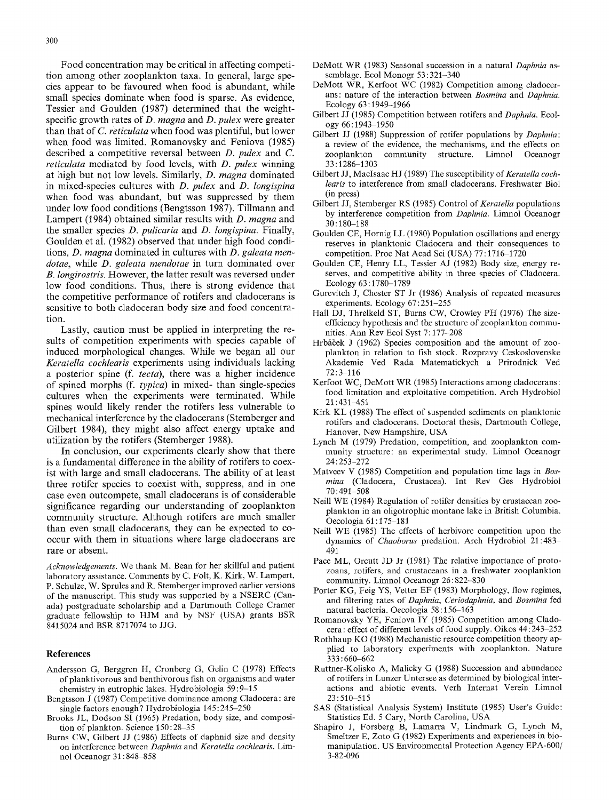Food concentration may be critical in affecting competition among other zooplankton taxa. In general, large species appear to be favoured when food is abundant, while small species dominate when food is sparse. As evidence, Tessier and Goulden (1987) determined that the weightspecific growth rates of *D. magna* and *D. pulex* were greater than that of *C. reticulata* when food was plentiful, but lower when food was limited. Romanovsky and Feniova (1985) described a competitive reversal between *D. pulex* and C. *reticulata* mediated by food levels, with *D. pulex* winning at high but not low levels. Similarly, *D. magna* dominated in mixed-species cultures with *D. pulex* and *D. longispina*  when food was abundant, but was suppressed by them under low food conditions (Bengtsson 1987). Tillmann and Lampert (1984) obtained similar results with *D. magna* and the smaller species *D. pulicaria* and *D. longispina.* Finally, Goulden et al. (1982) observed that under high food conditions, *D. magna* dominated in cultures with *D. galeata mendotae,* while *D. galeata mendotae* in turn dominated over *B. longirostris.* However, the latter result was reversed under low food conditions. Thus, there is strong evidence that the competitive performance of rotifers and cladocerans is sensitive to both cladoceran body size and food concentration.

Lastly, caution must be applied in interpreting the results of competition experiments with species capable of induced morphological changes. While we began all our *Keratella cochlearis* experiments using individuals lacking a posterior spine (f. *tecta),* there was a higher incidence of spined morphs (f. *typica)* in mixed- than single-species cultures when the experiments were terminated. While spines would likely render the rotifers less vulnerable to mechanical interference by the cladocerans (Stemberger and Gilbert 1984), they might also affect energy uptake and utilization by the rotifers (Stemberger 1988).

In conclusion, our experiments clearly show that there is a fundamental difference in the ability of rotifers to coexist with large and small cladocerans. The ability of at least three rotifer species to coexist with, suppress, and in one case even outcompete, small cladocerans is of considerable significance regarding our understanding of zooplankton community structure. Although rotifers are much smaller than even small cladocerans, they can be expected to cooccur with them in situations where large cladocerans are rare or absent.

*Acknowledgements.* We thank M. Bean for her skillful and patient laboratory assistance. Comments by C. Folt, K. Kirk, W. Lampert, P. Schulze, W. Sprules and R. Stemberger improved earlier versions of the manuscript. This study was supported by a NSERC (Canada) postgraduate scholarship and a Dartmouth College Cramer graduate fellowship to HJM and by NSF (USA) grants BSR 8415024 and BSR 8717074 to JJG.

### **References**

- Andersson G, Berggren H, Cronberg G, Gelin C (1978) Effects of planktivorous and benthivorous fish on organisms and water chemistry in eutrophic lakes. Hydrobiologia 59:9-15
- Bengtsson J (1987) Competitive dominance among Cladocera: are single factors enough? Hydrobiologia 145:245-250
- Brooks JL, Dodson SI (1965) Predation, body size, and composition of plankton. Science 150 : 28-35
- Burns CW, Gilbert JJ (1986) Effects of daphnid size and density on interference between *Daphnia* and *Keratella cochlearis.* Limnol Oceanogr 31:848-858
- DeMott WR (1983) Seasonal succession in a natural *Daphnia* assemblage. Ecol Monogr 53:321-340
- DeMott WR, Kerfoot WC (1982) Competition among cladocerans: nature of the interaction between *Bosmina* and *Daphnia.*  Ecology 63:1949-1966
- Gilbert JJ (1985) Competition between rotifers and *Daphnia.* Ecology 66:1943-1950
- Gilbert JJ (1988) Suppression of rotifer populations by *Daphnia*: a review of the evidence, the mechanisms, and the effects on zooplankton community structure. Limnol Oceanogr 33:1286-1303
- Gilbert JJ, MacIsaac HJ (1989) The susceptibility of *Keratella cochlearis* to interference from small cladocerans. Freshwater Biol (in press)
- Gilbert JJ, Stemberger RS (1985) Control of *Keratella* populations by interference competition from *Daphnia.* Limnol Oceanogr 30:180-188
- Goulden CE, Hornig LL (1980) Population oscillations and energy reserves in planktonic Cladocera and their consequences to competition. Proc Nat Acad Sci (USA) 77:1716-1720
- Goulden CE, Henry LL, Tessier AJ (1982) Body size, energy reserves, and competitive ability in three species of Cladocera. Ecology 63:1780-1789
- Gurevitch J, Chester ST Jr (1986) Analysis of repeated measures experiments. Ecology 67:251-255
- Hall DJ, Threlkeld ST, Burns CW, Crowley PH (1976) The sizeefficiency hypothesis and the structure of zooplankton communities. Ann Rev Ecol Syst 7:177-208
- Hrbáček J (1962) Species composition and the amount of zooplankton in relation to fish stock. Rozpravy Ceskoslovenske Akademie Ved Rada Matematickych a Prirodnick Ved 72:3-116
- Kerfoot WC, DeMott WR (1985) Interactions among cladocerans : food limitation and exploitative competition. Arch Hydrobiol 21 : 431-451
- Kirk KL (1988) The effect of suspended sediments on planktonic rotifers and cladocerans. Doctoral thesis, Dartmouth College, Hanover, New Hampshire, USA
- Lynch M (1979) Predation, competition, and zooplankton community structure: an experimental study. Limnol Oceanogr 24:253-272
- Matveev V (1985) Competition and population time lags in *Bosmina* (Cladocera, Crustacea). Int Rev Ges Hydrobiol 70 : 491-508
- Neill WE (1984) Regulation of rotifer densities by crustacean zooplankton in an oligotrophic montane lake in British Columbia. Oecologia 61:175-181
- Neill WE (1985) The effects of herbivore competition upon the dynamics of *Chaoborus* predation. Arch Hydrobiol 21:483 491
- Pace ML, Orcutt JD Jr (1981) The relative importance of protozoans, rotifers, and crustaceans in a freshwater zooplankton community. Limnol Oceanogr 26:822-830
- Porter KG, Feig YS, Vetter EF (1983) Morphology, flow regimes, and filtering rates of *Daphnia, Ceriodaphnia,* and *Bosmina* fed natural bacteria. Oecologia 58:156-163
- Romanovsky YE, Feniova IY (1985) Competition among Cladocera: effect of different levels of food supply. Oikos 44:243-252
- Rothhaup KO (1988) Mechanistic resource competition theory applied to laboratory experiments with zooplankton. Nature 333 : 660-662
- Ruttner-Kolisko A, Malicky G (1988) Succession and abundance of rotifers in Lunzer Untersee as determined by biological interactions and abiotic events. Verh Internat Verein Limnol 23 : 510-515
- SAS (Statistical Analysis System) Institute (1985) User's Guide: Statistics Ed. 5 Cary, North Carolina, USA
- Shapiro J, Forsberg B, Lamarra V, Lindmark G, Lynch M, Smeltzer E, Zoto G (1982) Experiments and experiences in biomanipulation. US Environmental Protection Agency EPA-600/ 3-82-096